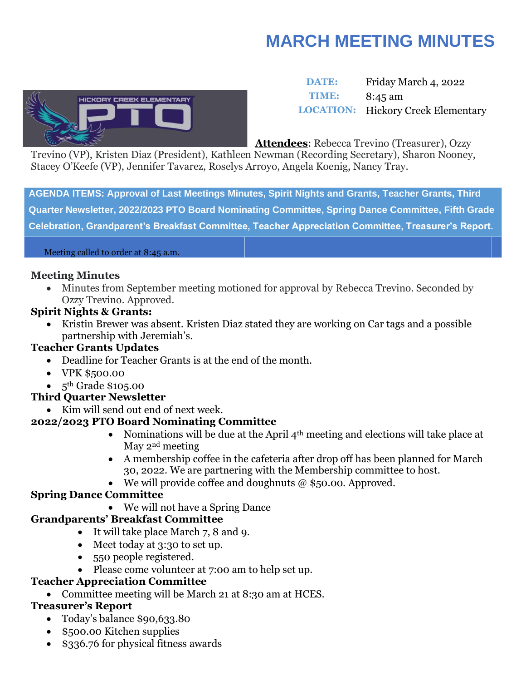# **MARCH MEETING MINUTES**



### **DATE:** Friday March 4, 2022 **TIME:** 8:45 am **LOCATION:** Hickory Creek Elementary

**Attendees**: Rebecca Trevino (Treasurer), Ozzy

Trevino (VP), Kristen Diaz (President), Kathleen Newman (Recording Secretary), Sharon Nooney, Stacey O'Keefe (VP), Jennifer Tavarez, Roselys Arroyo, Angela Koenig, Nancy Tray.

**AGENDA ITEMS: Approval of Last Meetings Minutes, Spirit Nights and Grants, Teacher Grants, Third Quarter Newsletter, 2022/2023 PTO Board Nominating Committee, Spring Dance Committee, Fifth Grade Celebration, Grandparent's Breakfast Committee, Teacher Appreciation Committee, Treasurer's Report.**

#### Meeting called to order at 8:45 a.m.

#### **Meeting Minutes**

• Minutes from September meeting motioned for approval by Rebecca Trevino. Seconded by Ozzy Trevino. Approved.

#### **Spirit Nights & Grants:**

• Kristin Brewer was absent. Kristen Diaz stated they are working on Car tags and a possible partnership with Jeremiah's.

#### **Teacher Grants Updates**

- Deadline for Teacher Grants is at the end of the month.
- VPK \$500.00
- $\bullet$  5<sup>th</sup> Grade \$105.00

#### **Third Quarter Newsletter**

• Kim will send out end of next week.

#### **2022/2023 PTO Board Nominating Committee**

- Nominations will be due at the April  $4<sup>th</sup>$  meeting and elections will take place at May 2nd meeting
- A membership coffee in the cafeteria after drop off has been planned for March 30, 2022. We are partnering with the Membership committee to host.
- We will provide coffee and doughnuts  $@$  \$50.00. Approved.

#### **Spring Dance Committee**

• We will not have a Spring Dance

#### **Grandparents' Breakfast Committee**

- It will take place March 7, 8 and 9.
- Meet today at 3:30 to set up.
- 550 people registered.
- Please come volunteer at 7:00 am to help set up.

#### **Teacher Appreciation Committee**

• Committee meeting will be March 21 at 8:30 am at HCES.

#### **Treasurer's Report**

- Today's balance \$90,633.80
- \$500.00 Kitchen supplies
- \$336.76 for physical fitness awards